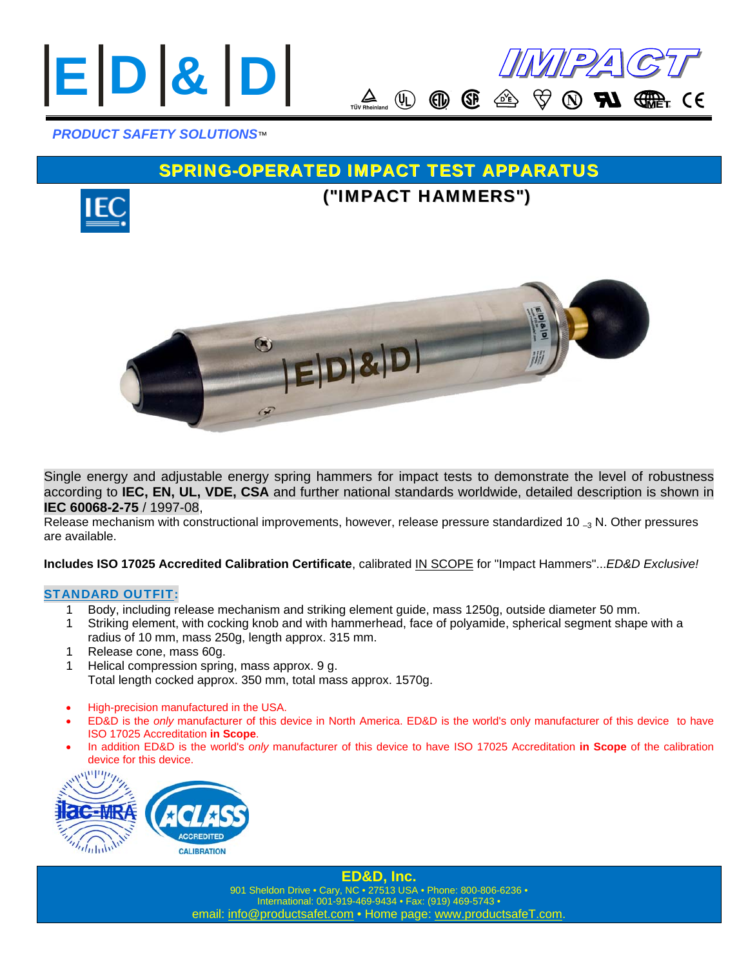



### *PRODUCT SAFETY SOLUTIONS*™

## SPRING-OPERATED IMPACT TEST APPARATUS



# ("IMPACT HAMMERS")



Single energy and adjustable energy spring hammers for impact tests to demonstrate the level of robustness according to **IEC, EN, UL, VDE, CSA** and further national standards worldwide, detailed description is shown in **IEC 60068-2-75** / 1997-08,

Release mechanism with constructional improvements, however, release pressure standardized 10  $_{-3}$  N. Other pressures are available.

**Includes ISO 17025 Accredited Calibration Certificate**, calibrated IN SCOPE for "Impact Hammers"...*ED&D Exclusive!*

#### STANDARD OUTFIT:

- 1 Body, including release mechanism and striking element guide, mass 1250g, outside diameter 50 mm.
- 1 Striking element, with cocking knob and with hammerhead, face of polyamide, spherical segment shape with a radius of 10 mm, mass 250g, length approx. 315 mm.
- 1 Release cone, mass 60g.
- 1 Helical compression spring, mass approx. 9 g. Total length cocked approx. 350 mm, total mass approx. 1570g.
- High-precision manufactured in the USA.
- ED&D is the *only* manufacturer of this device in North America. ED&D is the world's only manufacturer of this device to have ISO 17025 Accreditation **in Scope**.
- In addition ED&D is the world's *only* manufacturer of this device to have ISO 17025 Accreditation **in Scope** of the calibration device for this device.



**ED&D, Inc.**  901 Sheldon Drive • Cary, NC • 27513 USA • Phone: 800-806-6236 • International: 001-919-469-9434 • Fax: (919) 469-5743 • email: info@productsafet.com • Home page: www.productsafeT.com.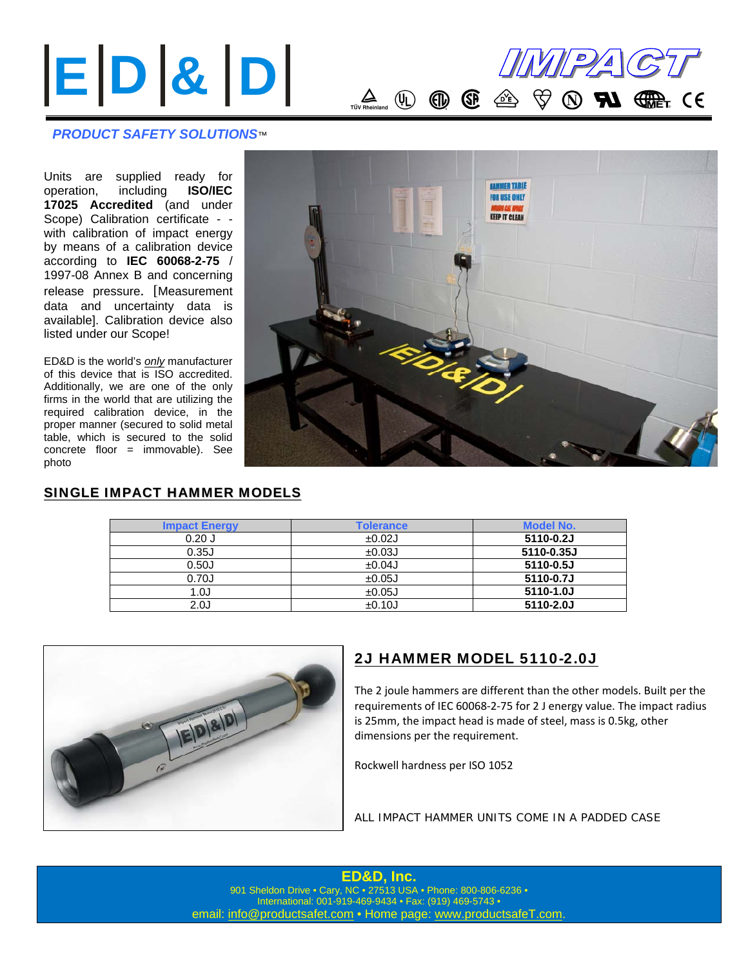

#### *PRODUCT SAFETY SOLUTIONS*™

Units are supplied ready for operation, including **ISO/IEC 17025 Accredited** (and under Scope) Calibration certificate - with calibration of impact energy by means of a calibration device according to **IEC 60068-2-75** / 1997-08 Annex B and concerning release pressure. [Measurement data and uncertainty data is available]. Calibration device also listed under our Scope!

ED&D is the world's *only* manufacturer of this device that is ISO accredited. Additionally, we are one of the only firms in the world that are utilizing the required calibration device, in the proper manner (secured to solid metal table, which is secured to the solid concrete floor = immovable). See photo



#### SINGLE IMPACT HAMMER MODELS

| <b>Impact Energy</b> | <b>Tolerance</b> | <b>Model No.</b> |
|----------------------|------------------|------------------|
| $0.20$ J             | ±0.02J           | 5110-0.2J        |
| 0.35J                | ±0.03J           | 5110-0.35J       |
| 0.50J                | ±0.04J           | 5110-0.5J        |
| 0.70J                | ±0.05J           | 5110-0.7J        |
| 1.OJ                 | ±0.05J           | 5110-1.0J        |
| 2.0J                 | ±0.10J           | 5110-2.0J        |



## 2J HAMMER MODEL 5110-2.0J

The 2 joule hammers are different than the other models. Built per the requirements of IEC 60068‐2‐75 for 2 J energy value. The impact radius is 25mm, the impact head is made of steel, mass is 0.5kg, other dimensions per the requirement.

Rockwell hardness per ISO 1052

*ALL IMPACT HAMMER UNITS COME IN A PADDED CASE*